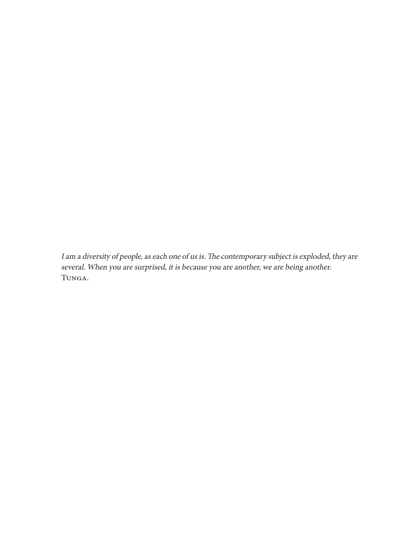I am a diversity of people, as each one of us is. The contemporary subject is exploded, they are several. When you are surprised, it is because you are another, we are being another. Tunga.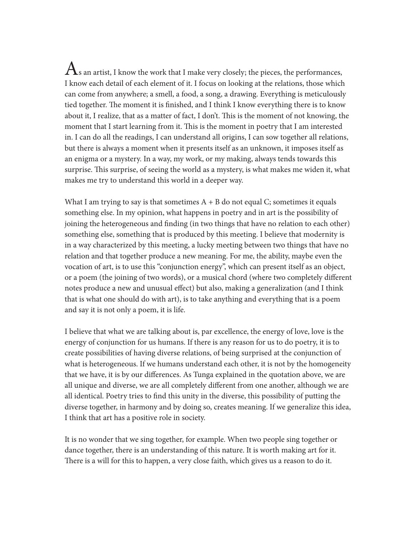${\bf A}$ s an artist, I know the work that I make very closely; the pieces, the performances, I know each detail of each element of it. I focus on looking at the relations, those which can come from anywhere; a smell, a food, a song, a drawing. Everything is meticulously tied together. The moment it is finished, and I think I know everything there is to know about it, I realize, that as a matter of fact, I don't. This is the moment of not knowing, the moment that I start learning from it. This is the moment in poetry that I am interested in. I can do all the readings, I can understand all origins, I can sow together all relations, but there is always a moment when it presents itself as an unknown, it imposes itself as an enigma or a mystery. In a way, my work, or my making, always tends towards this surprise. This surprise, of seeing the world as a mystery, is what makes me widen it, what makes me try to understand this world in a deeper way.

What I am trying to say is that sometimes  $A + B$  do not equal C; sometimes it equals something else. In my opinion, what happens in poetry and in art is the possibility of joining the heterogeneous and finding (in two things that have no relation to each other) something else, something that is produced by this meeting. I believe that modernity is in a way characterized by this meeting, a lucky meeting between two things that have no relation and that together produce a new meaning. For me, the ability, maybe even the vocation of art, is to use this "conjunction energy", which can present itself as an object, or a poem (the joining of two words), or a musical chord (where two completely different notes produce a new and unusual effect) but also, making a generalization (and I think that is what one should do with art), is to take anything and everything that is a poem and say it is not only a poem, it is life.

I believe that what we are talking about is, par excellence, the energy of love, love is the energy of conjunction for us humans. If there is any reason for us to do poetry, it is to create possibilities of having diverse relations, of being surprised at the conjunction of what is heterogeneous. If we humans understand each other, it is not by the homogeneity that we have, it is by our differences. As Tunga explained in the quotation above, we are all unique and diverse, we are all completely different from one another, although we are all identical. Poetry tries to find this unity in the diverse, this possibility of putting the diverse together, in harmony and by doing so, creates meaning. If we generalize this idea, I think that art has a positive role in society.

It is no wonder that we sing together, for example. When two people sing together or dance together, there is an understanding of this nature. It is worth making art for it. There is a will for this to happen, a very close faith, which gives us a reason to do it.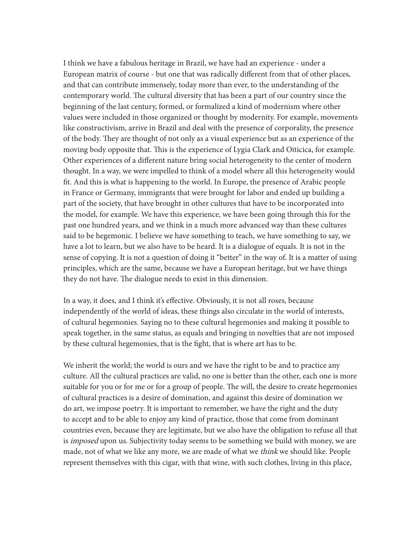I think we have a fabulous heritage in Brazil, we have had an experience - under a European matrix of course - but one that was radically different from that of other places, and that can contribute immensely, today more than ever, to the understanding of the contemporary world. The cultural diversity that has been a part of our country since the beginning of the last century, formed, or formalized a kind of modernism where other values were included in those organized or thought by modernity. For example, movements like constructivism, arrive in Brazil and deal with the presence of corporality, the presence of the body. They are thought of not only as a visual experience but as an experience of the moving body opposite that. This is the experience of Lygia Clark and Oiticica, for example. Other experiences of a different nature bring social heterogeneity to the center of modern thought. In a way, we were impelled to think of a model where all this heterogeneity would fit. And this is what is happening to the world. In Europe, the presence of Arabic people in France or Germany, immigrants that were brought for labor and ended up building a part of the society, that have brought in other cultures that have to be incorporated into the model, for example. We have this experience, we have been going through this for the past one hundred years, and we think in a much more advanced way than these cultures said to be hegemonic. I believe we have something to teach, we have something to say, we have a lot to learn, but we also have to be heard. It is a dialogue of equals. It is not in the sense of copying. It is not a question of doing it "better" in the way of. It is a matter of using principles, which are the same, because we have a European heritage, but we have things they do not have. The dialogue needs to exist in this dimension.

In a way, it does, and I think it's effective. Obviously, it is not all roses, because independently of the world of ideas, these things also circulate in the world of interests, of cultural hegemonies. Saying no to these cultural hegemonies and making it possible to speak together, in the same status, as equals and bringing in novelties that are not imposed by these cultural hegemonies, that is the fight, that is where art has to be.

We inherit the world; the world is ours and we have the right to be and to practice any culture. All the cultural practices are valid, no one is better than the other, each one is more suitable for you or for me or for a group of people. The will, the desire to create hegemonies of cultural practices is a desire of domination, and against this desire of domination we do art, we impose poetry. It is important to remember, we have the right and the duty to accept and to be able to enjoy any kind of practice, those that come from dominant countries even, because they are legitimate, but we also have the obligation to refuse all that is *imposed* upon us. Subjectivity today seems to be something we build with money, we are made, not of what we like any more, we are made of what we think we should like. People represent themselves with this cigar, with that wine, with such clothes, living in this place,